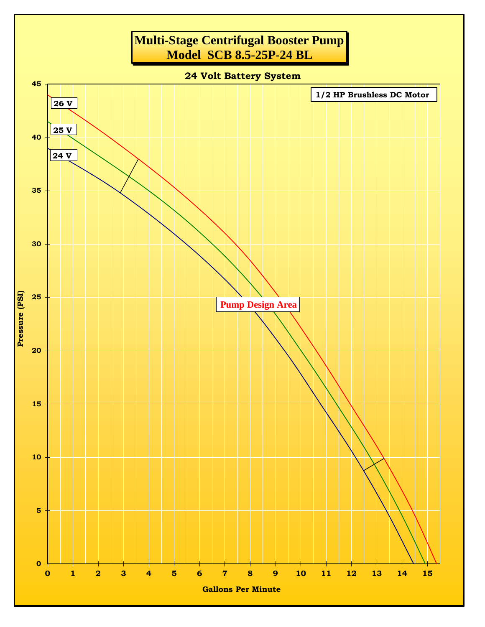